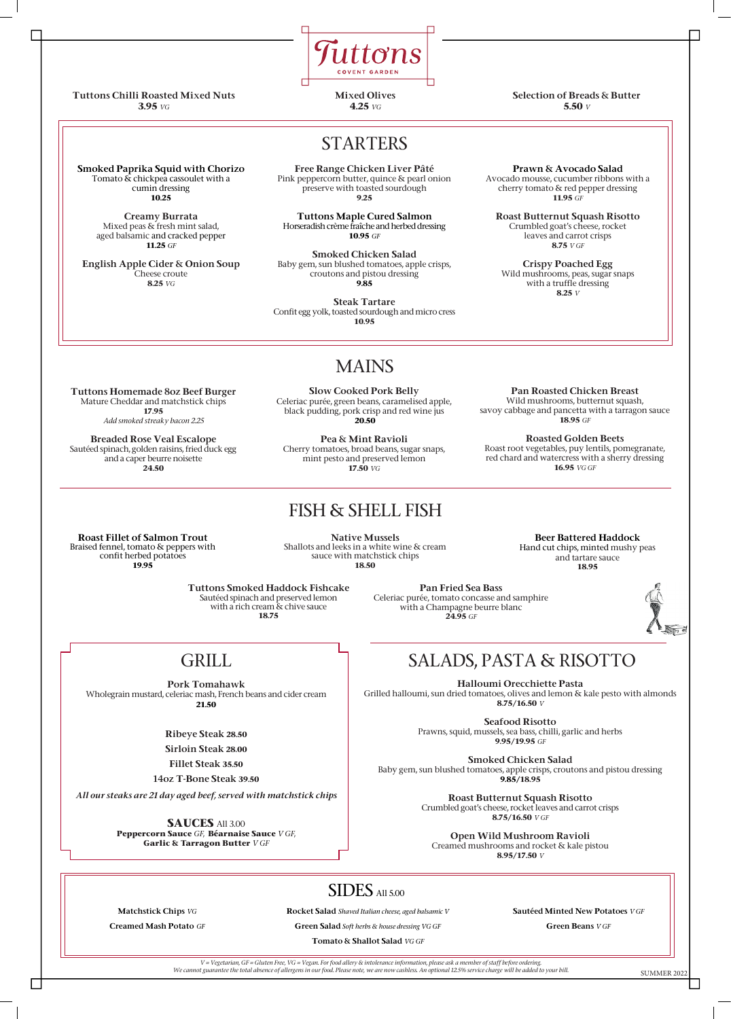Smoked Paprika Squid with Chorizo Tomato  $\overline{\mathbf{x}}$  chickpea cassoulet with a cumin dressing **10.25**

> Creamy Burrata Mixed peas & fresh mint salad, aged balsamic and cracked pepper **11.25** *GF*

English Apple Cider & Onion Soup Cheese croute **8.25** *VG* 

Free Range Chicken Liver Pâté Pink peppercorn butter, quince & pearl onion preserve with toasted sourdough **9.25**

Tuttons Maple Cured Salmon Horseradish crème fraîche and herbed dressing **10.95** *GF*

Smoked Chicken Salad Baby gem, sun blushed tomatoes, apple crisps, croutons and pistou dressing **9.85**

Steak Tartare Confit egg yolk, toasted sourdough and micro cress **10.95**

Prawn & Avocado Salad Avocado mousse, cucumber ribbons with a cherry tomato & red pepper dressing **11.95** *GF*

Roast Butternut Squash Risotto Crumbled goat's cheese, rocket leaves and carrot crisps **8.75** *V GF*

Crispy Poached Egg Wild mushrooms, peas, sugar snaps with a truffle dressing **8.25** *V*

Halloumi Orecchiette Pasta Grilled halloumi, sun dried tomatoes, olives and lemon & kale pesto with almonds **8.75/16.50** *V*

Seafood Risotto

Prawns, squid, mussels, sea bass, chilli, garlic and herbs **9.95/19.95** *GF* 



Smoked Chicken Salad Baby gem, sun blushed tomatoes, apple crisps, croutons and pistou dressing **9.85/18.95**

> Roast Butternut Squash Risotto Crumbled goat's cheese, rocket leaves and carrot crisps **8.75/16.50** *V GF*

Open Wild Mushroom Ravioli Creamed mushrooms and rocket & kale pistou **8.95/17.50** *V*

# SALADS, PASTA & RISOTTO

Roast Fillet of Salmon Trout Braised fennel, tomato & peppers with confit herbed potatoes **19.95**

Native Mussels Shallots and leeks in a white wine & cream sauce with matchstick chips **18.50**

Beer Battered Haddock Hand cut chips, minted mushy peas and tartare sauce **18.95**

#### FISH & SHELL FISH

### MAINS

Tuttons Homemade 8oz Beef Burger Mature Cheddar and matchstick chips **17.95** *Add smoked streaky bacon 2.25*

Breaded Rose Veal Escalope Sautéed spinach, golden raisins, fried duck egg and a caper beurre noisette **24.50**

Slow Cooked Pork Belly Celeriac purée, green beans, caramelised apple, black pudding, pork crisp and red wine jus **20.50**

| <b>Matchstick Chips VG</b> | <b>Rocket Salad</b> Shaved Italian cheese, aged balsamic V | <b>Sautéed Minted New Potatoes VGF</b> |
|----------------------------|------------------------------------------------------------|----------------------------------------|
|                            |                                                            |                                        |
| Creamed Mash Potato $GF$   | <b>Green Salad</b> Soft herbs & house dressing VG GF       | <b>Green Beans <math>VGF</math></b>    |
|                            | <b>Tomato &amp; Shallot Salad VG GF</b>                    |                                        |
|                            |                                                            |                                        |

Pea & Mint Ravioli Cherry tomatoes, broad beans, sugar snaps, mint pesto and preserved lemon **17.50** *VG*

Pan Roasted Chicken Breast Wild mushrooms, butternut squash, savoy cabbage and pancetta with a tarragon sauce **18.95** *GF*

Roasted Golden Beets Roast root vegetables, puy lentils, pomegranate, red chard and watercress with a sherry dressing **16.95** *VG GF*

## STARTERS



Tuttons Chilli Roasted Mixed Nuts **3.95** *VG*

Mixed Olives **4.25** *VG*

Selection of Breads & Butter **5.50** *V*

#### GRILL

Pork Tomahawk Wholegrain mustard, celeriac mash, French beans and cider cream **21.50**

Ribeye Steak **28.50**

Sirloin Steak **28.00**

Fillet Steak **35.50**

14oz T-Bone Steak **39.50**

*All our steaks are 21 day aged beef, served with matchstick chips*

**SAUCES** All 3.00 **Peppercorn Sauce** *GF*, **Béarnaise Sauce** *V GF*, **Garlic & Tarragon Butter** *V GF* 

Tuttons Smoked Haddock Fishcake Sautéed spinach and preserved lemon with a rich cream & chive sauce Pan Fried Sea Bass Celeriac purée, tomato concasse and samphire with a Champagne beurre blanc

**18.75** 

**24.95** *GF*